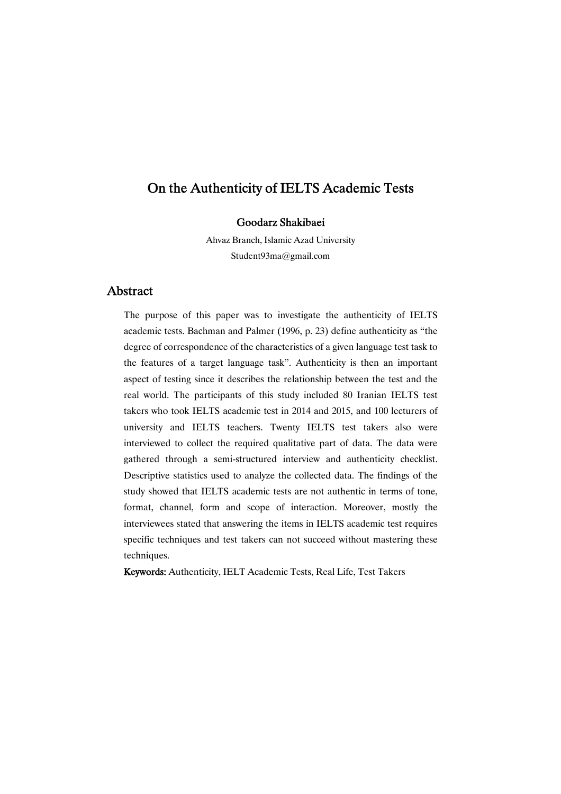# Goodarz Shakibaei

Ahvaz Branch, Islamic Azad University Student93ma@gmail.com

# Abstract

The purpose of this paper was to investigate the authenticity of IELTS academic tests. Bachman and Palmer (1996, p. 23) define authenticity as "the degree of correspondence of the characteristics of a given language test task to the features of a target language task". Authenticity is then an important aspect of testing since it describes the relationship between the test and the real world. The participants of this study included 80 Iranian IELTS test takers who took IELTS academic test in 2014 and 2015, and 100 lecturers of university and IELTS teachers. Twenty IELTS test takers also were interviewed to collect the required qualitative part of data. The data were gathered through a semi-structured interview and authenticity checklist. Descriptive statistics used to analyze the collected data. The findings of the study showed that IELTS academic tests are not authentic in terms of tone, format, channel, form and scope of interaction. Moreover, mostly the interviewees stated that answering the items in IELTS academic test requires specific techniques and test takers can not succeed without mastering these techniques.

Keywords: Authenticity, IELT Academic Tests, Real Life, Test Takers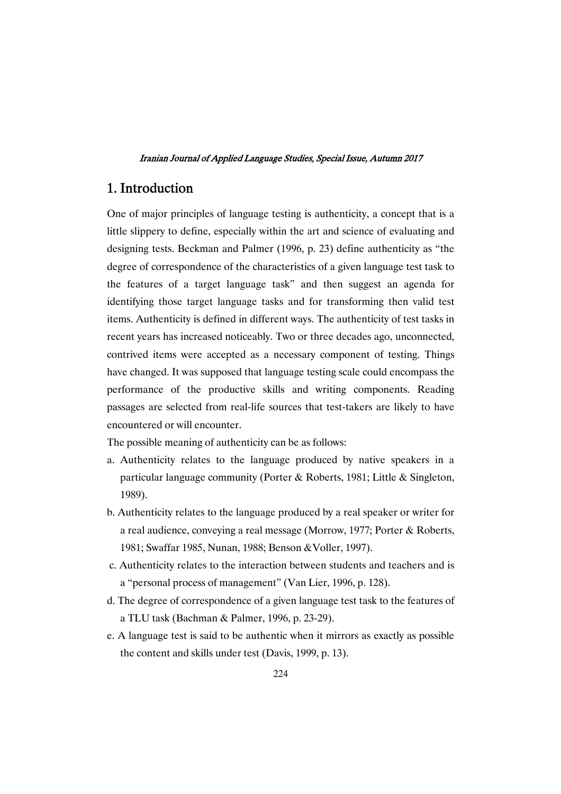# 1.Introduction

One of major principles of language testing is authenticity, a concept that is a little slippery to define, especially within the art and science of evaluating and designing tests. Beckman and Palmer (1996, p. 23) define authenticity as "the degree of correspondence of the characteristics of a given language test task to the features of a target language task" and then suggest an agenda for identifying those target language tasks and for transforming then valid test items. Authenticity is defined in different ways. The authenticity of test tasks in recent years has increased noticeably. Two or three decades ago, unconnected, contrived items were accepted as a necessary component of testing. Things have changed. It was supposed that language testing scale could encompass the performance of the productive skills and writing components. Reading passages are selected from real-life sources that test-takers are likely to have encountered or will encounter.

The possible meaning of authenticity can be as follows:

- a. Authenticity relates to the language produced by native speakers in a particular language community (Porter & Roberts, 1981; Little & Singleton, 1989).
- b. Authenticity relates to the language produced by a real speaker or writer for a real audience, conveying a real message (Morrow, 1977; Porter & Roberts, 1981; Swaffar 1985, Nunan, 1988; Benson &Voller, 1997).
- c. Authenticity relates to the interaction between students and teachers and is a "personal process of management" (Van Lier, 1996, p. 128).
- d. The degree of correspondence of a given language test task to the features of a TLU task (Bachman & Palmer, 1996, p. 23-29).
- e. A language test is said to be authentic when it mirrors as exactly as possible the content and skills under test (Davis, 1999, p. 13).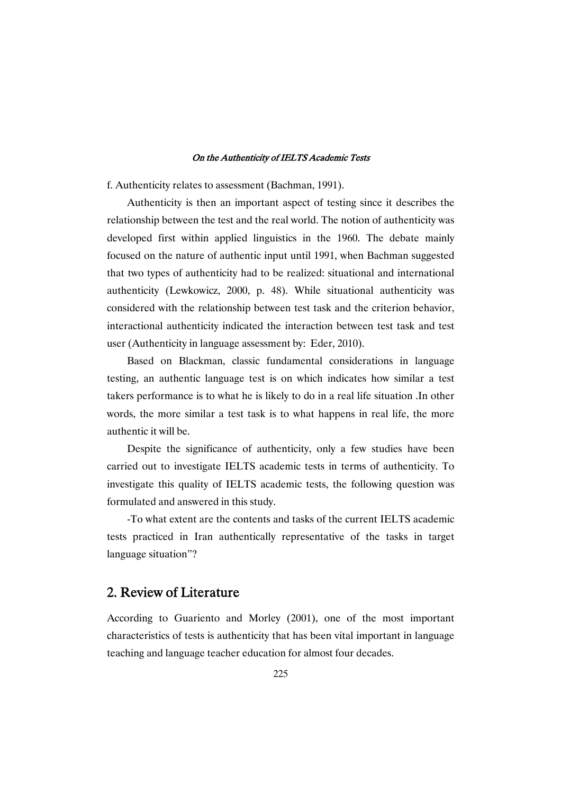f. Authenticity relates to assessment (Bachman, 1991).

Authenticity is then an important aspect of testing since it describes the relationship between the test and the real world. The notion of authenticity was developed first within applied linguistics in the 1960. The debate mainly focused on the nature of authentic input until 1991, when Bachman suggested that two types of authenticity had to be realized: situational and international authenticity (Lewkowicz, 2000, p. 48). While situational authenticity was considered with the relationship between test task and the criterion behavior, interactional authenticity indicated the interaction between test task and test user (Authenticity in language assessment by: Eder, 2010).

Based on Blackman, classic fundamental considerations in language testing, an authentic language test is on which indicates how similar a test takers performance is to what he is likely to do in a real life situation .In other words, the more similar a test task is to what happens in real life, the more authentic it will be.

Despite the significance of authenticity, only a few studies have been carried out to investigate IELTS academic tests in terms of authenticity. To investigate this quality of IELTS academic tests, the following question was formulated and answered in this study.

-To what extent are the contents and tasks of the current IELTS academic tests practiced in Iran authentically representative of the tasks in target language situation"?

# 2. Review of Literature

According to Guariento and Morley (2001), one of the most important characteristics of tests is authenticity that has been vital important in language teaching and language teacher education for almost four decades.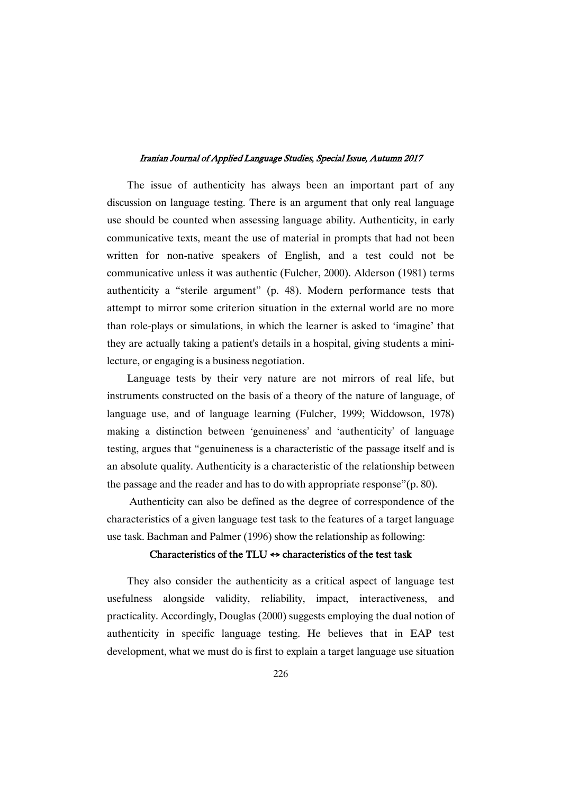The issue of authenticity has always been an important part of any discussion on language testing. There is an argument that only real language use should be counted when assessing language ability. Authenticity, in early communicative texts, meant the use of material in prompts that had not been written for non-native speakers of English, and a test could not be communicative unless it was authentic (Fulcher, 2000). Alderson (1981) terms authenticity a "sterile argument" (p. 48). Modern performance tests that attempt to mirror some criterion situation in the external world are no more than role-plays or simulations, in which the learner is asked to 'imagine' that they are actually taking a patient's details in a hospital, giving students a minilecture, or engaging is a business negotiation.

Language tests by their very nature are not mirrors of real life, but instruments constructed on the basis of a theory of the nature of language, of language use, and of language learning (Fulcher, 1999; Widdowson, 1978) making a distinction between 'genuineness' and 'authenticity' of language testing, argues that "genuineness is a characteristic of the passage itself and is an absolute quality. Authenticity is a characteristic of the relationship between the passage and the reader and has to do with appropriate response"(p. 80).

Authenticity can also be defined as the degree of correspondence of the characteristics of a given language test task to the features of a target language use task. Bachman and Palmer (1996) show the relationship as following:

### Characteristics of the TLU  $\Leftrightarrow$  characteristics of the test task

They also consider the authenticity as a critical aspect of language test usefulness alongside validity, reliability, impact, interactiveness, and practicality. Accordingly, Douglas (2000) suggests employing the dual notion of authenticity in specific language testing. He believes that in EAP test development, what we must do is first to explain a target language use situation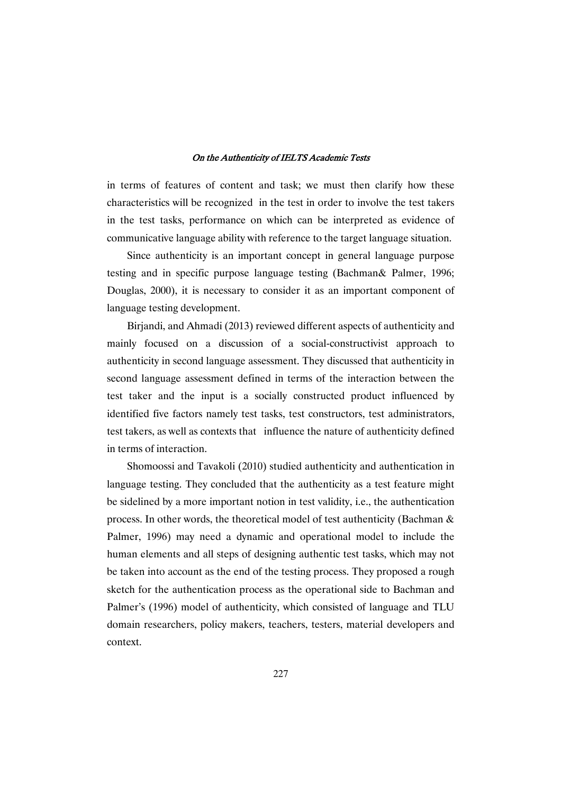in terms of features of content and task; we must then clarify how these characteristics will be recognized in the test in order to involve the test takers in the test tasks, performance on which can be interpreted as evidence of communicative language ability with reference to the target language situation.

Since authenticity is an important concept in general language purpose testing and in specific purpose language testing (Bachman& Palmer, 1996; Douglas, 2000), it is necessary to consider it as an important component of language testing development.

Birjandi, and Ahmadi (2013) reviewed different aspects of authenticity and mainly focused on a discussion of a social-constructivist approach to authenticity in second language assessment. They discussed that authenticity in second language assessment defined in terms of the interaction between the test taker and the input is a socially constructed product influenced by identified five factors namely test tasks, test constructors, test administrators, test takers, as well as contexts that influence the nature of authenticity defined in terms of interaction.

Shomoossi and Tavakoli (2010) studied authenticity and authentication in language testing. They concluded that the authenticity as a test feature might be sidelined by a more important notion in test validity, i.e., the authentication process. In other words, the theoretical model of test authenticity (Bachman & Palmer, 1996) may need a dynamic and operational model to include the human elements and all steps of designing authentic test tasks, which may not be taken into account as the end of the testing process. They proposed a rough sketch for the authentication process as the operational side to Bachman and Palmer's (1996) model of authenticity, which consisted of language and TLU domain researchers, policy makers, teachers, testers, material developers and context.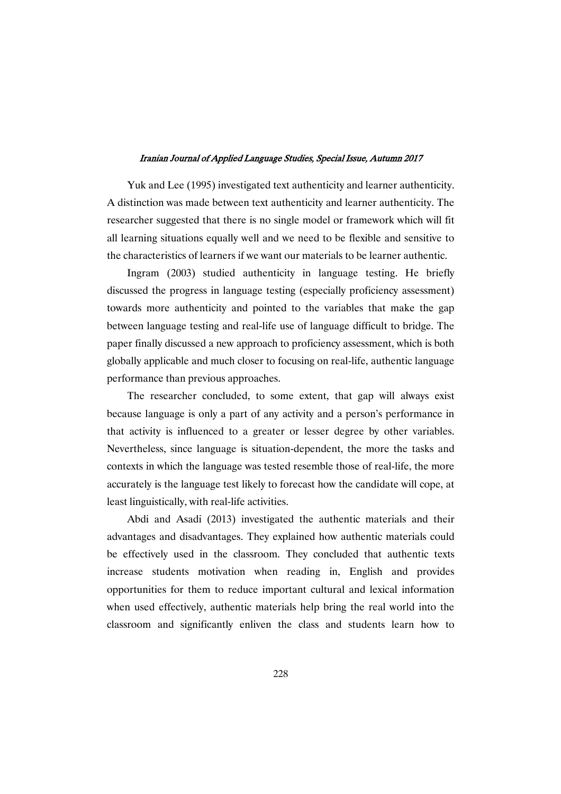Yuk and Lee (1995) investigated text authenticity and learner authenticity. A distinction was made between text authenticity and learner authenticity. The researcher suggested that there is no single model or framework which will fit all learning situations equally well and we need to be flexible and sensitive to the characteristics of learners if we want our materials to be learner authentic.

Ingram (2003) studied authenticity in language testing. He briefly discussed the progress in language testing (especially proficiency assessment) towards more authenticity and pointed to the variables that make the gap between language testing and real-life use of language difficult to bridge. The paper finally discussed a new approach to proficiency assessment, which is both globally applicable and much closer to focusing on real-life, authentic language performance than previous approaches.

The researcher concluded, to some extent, that gap will always exist because language is only a part of any activity and a person's performance in that activity is influenced to a greater or lesser degree by other variables. Nevertheless, since language is situation-dependent, the more the tasks and contexts in which the language was tested resemble those of real-life, the more accurately is the language test likely to forecast how the candidate will cope, at least linguistically, with real-life activities.

Abdi and Asadi (2013) investigated the authentic materials and their advantages and disadvantages. They explained how authentic materials could be effectively used in the classroom. They concluded that authentic texts increase students motivation when reading in, English and provides opportunities for them to reduce important cultural and lexical information when used effectively, authentic materials help bring the real world into the classroom and significantly enliven the class and students learn how to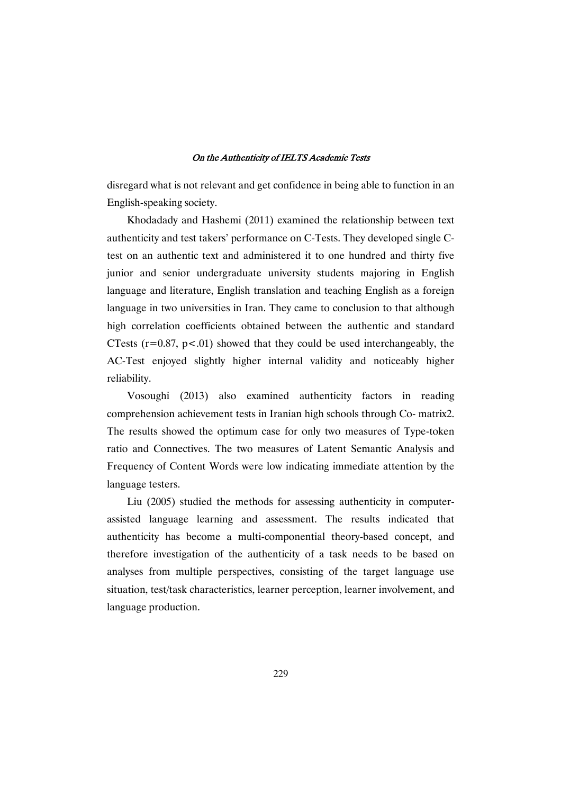disregard what is not relevant and get confidence in being able to function in an English-speaking society.

Khodadady and Hashemi (2011) examined the relationship between text authenticity and test takers' performance on C-Tests. They developed single Ctest on an authentic text and administered it to one hundred and thirty five junior and senior undergraduate university students majoring in English language and literature, English translation and teaching English as a foreign language in two universities in Iran. They came to conclusion to that although high correlation coefficients obtained between the authentic and standard CTests  $(r=0.87, p<0.01)$  showed that they could be used interchangeably, the AC-Test enjoyed slightly higher internal validity and noticeably higher reliability.

Vosoughi (2013) also examined authenticity factors in reading comprehension achievement tests in Iranian high schools through Co- matrix2. The results showed the optimum case for only two measures of Type-token ratio and Connectives. The two measures of Latent Semantic Analysis and Frequency of Content Words were low indicating immediate attention by the language testers.

Liu (2005) studied the methods for assessing authenticity in computerassisted language learning and assessment. The results indicated that authenticity has become a multi-componential theory-based concept, and therefore investigation of the authenticity of a task needs to be based on analyses from multiple perspectives, consisting of the target language use situation, test/task characteristics, learner perception, learner involvement, and language production.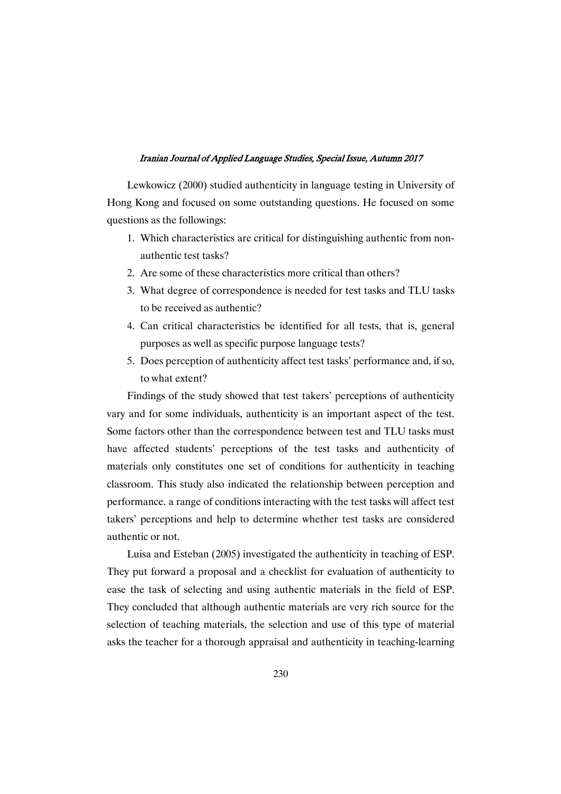Lewkowicz (2000) studied authenticity in language testing in University of Hong Kong and focused on some outstanding questions. He focused on some questions as the followings:

- 1. Which characteristics are critical for distinguishing authentic from nonauthentic test tasks?
- 2. Are some of these characteristics more critical than others?
- 3. What degree of correspondence is needed for test tasks and TLU tasks to be received as authentic?
- 4. Can critical characteristics be identified for all tests, that is, general purposes as well as specific purpose language tests?
- 5. Does perception of authenticity affect test tasks' performance and, if so, to what extent?

Findings of the study showed that test takers' perceptions of authenticity vary and for some individuals, authenticity is an important aspect of the test. Some factors other than the correspondence between test and TLU tasks must have affected students' perceptions of the test tasks and authenticity of materials only constitutes one set of conditions for authenticity in teaching classroom. This study also indicated the relationship between perception and performance. a range of conditions interacting with the test tasks will affect test takers' perceptions and help to determine whether test tasks are considered authentic or not.

Luisa and Esteban (2005) investigated the authenticity in teaching of ESP. They put forward a proposal and a checklist for evaluation of authenticity to ease the task of selecting and using authentic materials in the field of ESP. They concluded that although authentic materials are very rich source for the selection of teaching materials, the selection and use of this type of material asks the teacher for a thorough appraisal and authenticity in teaching-learning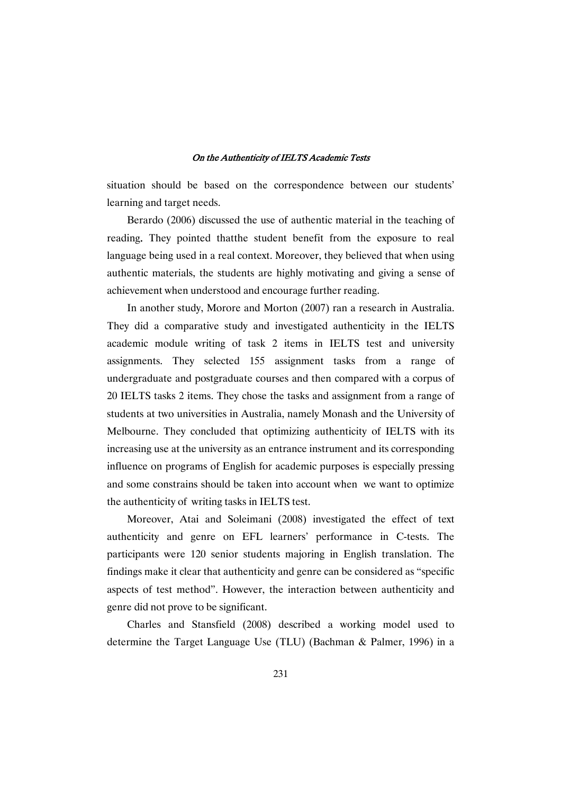situation should be based on the correspondence between our students' learning and target needs.

Berardo (2006) discussed the use of authentic material in the teaching of reading. They pointed thatthe student benefit from the exposure to real language being used in a real context. Moreover, they believed that when using authentic materials, the students are highly motivating and giving a sense of achievement when understood and encourage further reading.

In another study, Morore and Morton (2007) ran a research in Australia. They did a comparative study and investigated authenticity in the IELTS academic module writing of task 2 items in IELTS test and university assignments. They selected 155 assignment tasks from a range of undergraduate and postgraduate courses and then compared with a corpus of 20 IELTS tasks 2 items. They chose the tasks and assignment from a range of students at two universities in Australia, namely Monash and the University of Melbourne. They concluded that optimizing authenticity of IELTS with its increasing use at the university as an entrance instrument and its corresponding influence on programs of English for academic purposes is especially pressing and some constrains should be taken into account when we want to optimize the authenticity of writing tasks in IELTS test.

Moreover, Atai and Soleimani (2008) investigated the effect of text authenticity and genre on EFL learners' performance in C-tests. The participants were 120 senior students majoring in English translation. The findings make it clear that authenticity and genre can be considered as "specific aspects of test method". However, the interaction between authenticity and genre did not prove to be significant.

Charles and Stansfield (2008) described a working model used to determine the Target Language Use (TLU) (Bachman & Palmer, 1996) in a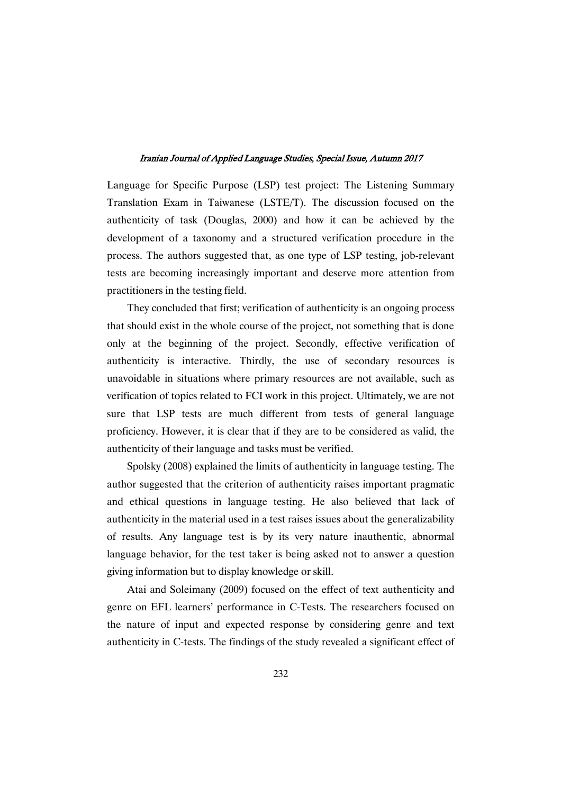Language for Specific Purpose (LSP) test project: The Listening Summary Translation Exam in Taiwanese (LSTE/T). The discussion focused on the authenticity of task (Douglas, 2000) and how it can be achieved by the development of a taxonomy and a structured verification procedure in the process. The authors suggested that, as one type of LSP testing, job-relevant tests are becoming increasingly important and deserve more attention from practitioners in the testing field.

They concluded that first; verification of authenticity is an ongoing process that should exist in the whole course of the project, not something that is done only at the beginning of the project. Secondly, effective verification of authenticity is interactive. Thirdly, the use of secondary resources is unavoidable in situations where primary resources are not available, such as verification of topics related to FCI work in this project. Ultimately, we are not sure that LSP tests are much different from tests of general language proficiency. However, it is clear that if they are to be considered as valid, the authenticity of their language and tasks must be verified.

Spolsky (2008) explained the limits of authenticity in language testing. The author suggested that the criterion of authenticity raises important pragmatic and ethical questions in language testing. He also believed that lack of authenticity in the material used in a test raises issues about the generalizability of results. Any language test is by its very nature inauthentic, abnormal language behavior, for the test taker is being asked not to answer a question giving information but to display knowledge or skill.

Atai and Soleimany (2009) focused on the effect of text authenticity and genre on EFL learners' performance in C-Tests. The researchers focused on the nature of input and expected response by considering genre and text authenticity in C-tests. The findings of the study revealed a significant effect of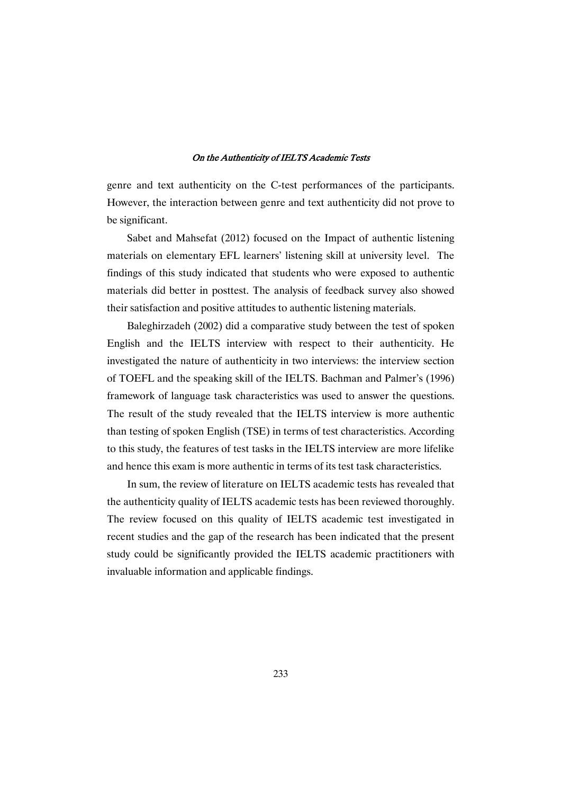genre and text authenticity on the C-test performances of the participants. However, the interaction between genre and text authenticity did not prove to be significant.

Sabet and Mahsefat (2012) focused on the Impact of authentic listening materials on elementary EFL learners' listening skill at university level. The findings of this study indicated that students who were exposed to authentic materials did better in posttest. The analysis of feedback survey also showed their satisfaction and positive attitudes to authentic listening materials.

Baleghirzadeh (2002) did a comparative study between the test of spoken English and the IELTS interview with respect to their authenticity. He investigated the nature of authenticity in two interviews: the interview section of TOEFL and the speaking skill of the IELTS. Bachman and Palmer's (1996) framework of language task characteristics was used to answer the questions. The result of the study revealed that the IELTS interview is more authentic than testing of spoken English (TSE) in terms of test characteristics. According to this study, the features of test tasks in the IELTS interview are more lifelike and hence this exam is more authentic in terms of its test task characteristics.

In sum, the review of literature on IELTS academic tests has revealed that the authenticity quality of IELTS academic tests has been reviewed thoroughly. The review focused on this quality of IELTS academic test investigated in recent studies and the gap of the research has been indicated that the present study could be significantly provided the IELTS academic practitioners with invaluable information and applicable findings.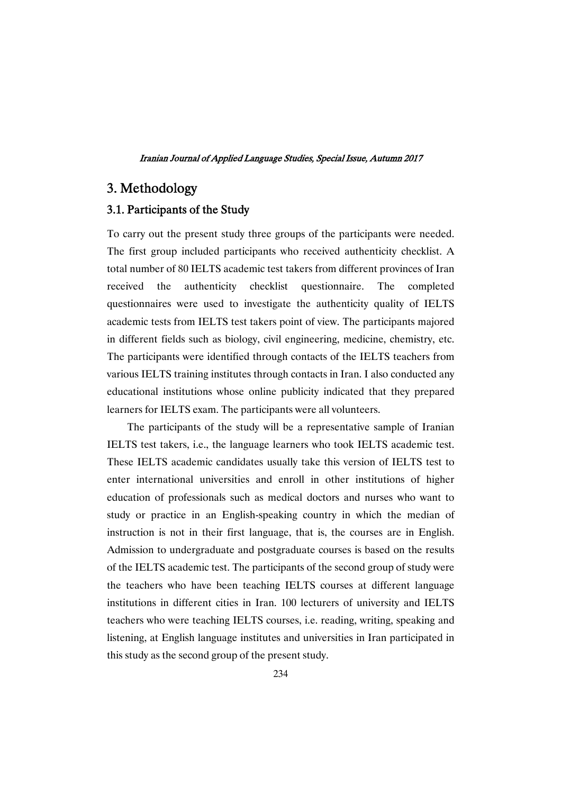# 3.Methodology

# 3.1. Participants of the Study

To carry out the present study three groups of the participants were needed. The first group included participants who received authenticity checklist. A total number of 80 IELTS academic test takers from different provinces of Iran received the authenticity checklist questionnaire. The completed questionnaires were used to investigate the authenticity quality of IELTS academic tests from IELTS test takers point of view. The participants majored in different fields such as biology, civil engineering, medicine, chemistry, etc. The participants were identified through contacts of the IELTS teachers from various IELTS training institutes through contacts in Iran. I also conducted any educational institutions whose online publicity indicated that they prepared learners for IELTS exam. The participants were all volunteers.

The participants of the study will be a representative sample of Iranian IELTS test takers, i.e., the language learners who took IELTS academic test. These IELTS academic candidates usually take this version of IELTS test to enter international universities and enroll in other institutions of higher education of professionals such as medical doctors and nurses who want to study or practice in an English-speaking country in which the median of instruction is not in their first language, that is, the courses are in English. Admission to undergraduate and postgraduate courses is based on the results of the IELTS academic test. The participants of the second group of study were the teachers who have been teaching IELTS courses at different language institutions in different cities in Iran. 100 lecturers of university and IELTS teachers who were teaching IELTS courses, i.e. reading, writing, speaking and listening, at English language institutes and universities in Iran participated in this study as the second group of the present study.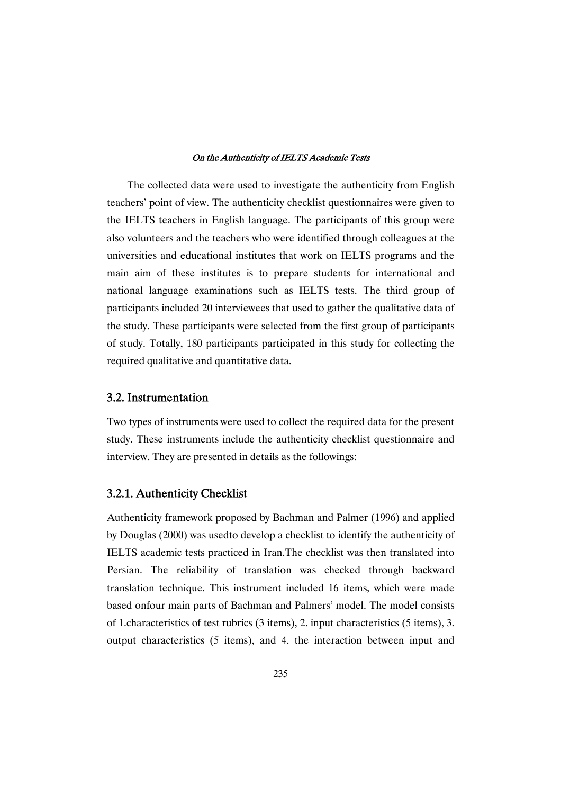The collected data were used to investigate the authenticity from English teachers' point of view. The authenticity checklist questionnaires were given to the IELTS teachers in English language. The participants of this group were also volunteers and the teachers who were identified through colleagues at the universities and educational institutes that work on IELTS programs and the main aim of these institutes is to prepare students for international and national language examinations such as IELTS tests. The third group of participants included 20 interviewees that used to gather the qualitative data of the study. These participants were selected from the first group of participants of study. Totally, 180 participants participated in this study for collecting the required qualitative and quantitative data.

## 3.2.Instrumentation

Two types of instruments were used to collect the required data for the present study. These instruments include the authenticity checklist questionnaire and interview. They are presented in details as the followings:

# 3.2.1.AuthenticityChecklist

Authenticity framework proposed by Bachman and Palmer (1996) and applied by Douglas (2000) was usedto develop a checklist to identify the authenticity of IELTS academic tests practiced in Iran.The checklist was then translated into Persian. The reliability of translation was checked through backward translation technique. This instrument included 16 items, which were made based onfour main parts of Bachman and Palmers' model. The model consists of 1.characteristics of test rubrics (3 items), 2. input characteristics (5 items), 3. output characteristics (5 items), and 4. the interaction between input and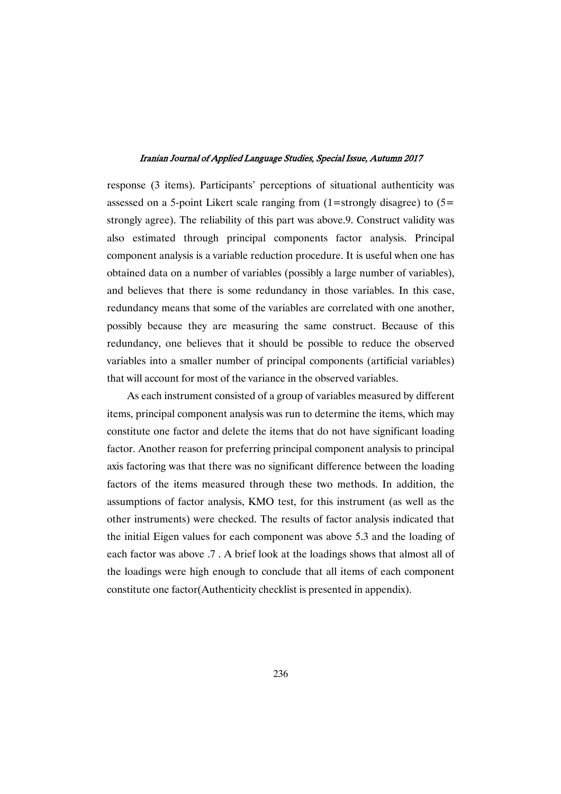response (3 items). Participants' perceptions of situational authenticity was assessed on a 5-point Likert scale ranging from  $(1=$ strongly disagree) to  $(5=$ strongly agree). The reliability of this part was above.9. Construct validity was also estimated through principal components factor analysis. Principal component analysis is a variable reduction procedure. It is useful when one has obtained data on a number of variables (possibly a large number of variables), and believes that there is some redundancy in those variables. In this case, redundancy means that some of the variables are correlated with one another, possibly because they are measuring the same construct. Because of this redundancy, one believes that it should be possible to reduce the observed variables into a smaller number of principal components (artificial variables) that will account for most of the variance in the observed variables.

As each instrument consisted of a group of variables measured by different items, principal component analysis was run to determine the items, which may constitute one factor and delete the items that do not have significant loading factor. Another reason for preferring principal component analysis to principal axis factoring was that there was no significant difference between the loading factors of the items measured through these two methods. In addition, the assumptions of factor analysis, KMO test, for this instrument (as well as the other instruments) were checked. The results of factor analysis indicated that the initial Eigen values for each component was above 5.3 and the loading of each factor was above .7 . A brief look at the loadings shows that almost all of the loadings were high enough to conclude that all items of each component constitute one factor(Authenticity checklist is presented in appendix).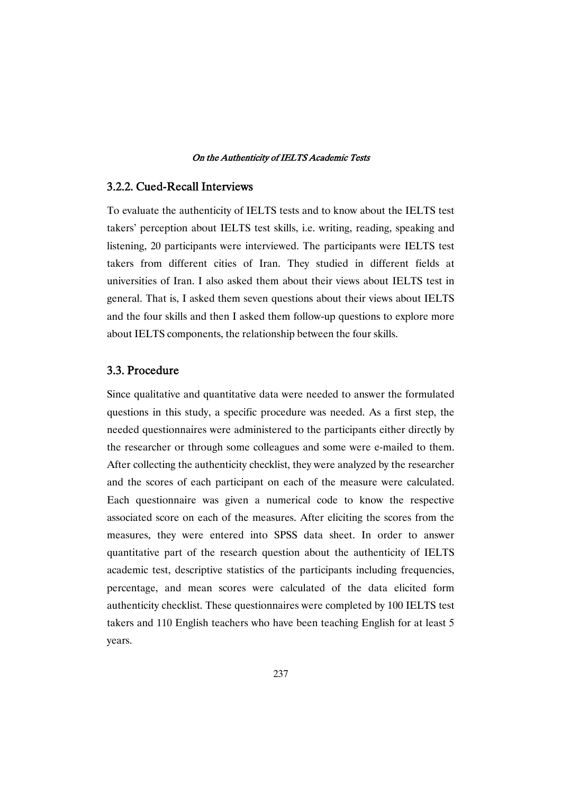# 3.2.2. Cued-Recall Interviews

To evaluate the authenticity of IELTS tests and to know about the IELTS test takers' perception about IELTS test skills, i.e. writing, reading, speaking and listening, 20 participants were interviewed. The participants were IELTS test takers from different cities of Iran. They studied in different fields at universities of Iran. I also asked them about their views about IELTS test in general. That is, I asked them seven questions about their views about IELTS and the four skills and then I asked them follow-up questions to explore more about IELTS components, the relationship between the four skills.

# 3.3.Procedure

Since qualitative and quantitative data were needed to answer the formulated questions in this study, a specific procedure was needed. As a first step, the needed questionnaires were administered to the participants either directly by the researcher or through some colleagues and some were e-mailed to them. After collecting the authenticity checklist, they were analyzed by the researcher and the scores of each participant on each of the measure were calculated. Each questionnaire was given a numerical code to know the respective associated score on each of the measures. After eliciting the scores from the measures, they were entered into SPSS data sheet. In order to answer quantitative part of the research question about the authenticity of IELTS academic test, descriptive statistics of the participants including frequencies, percentage, and mean scores were calculated of the data elicited form authenticity checklist. These questionnaires were completed by 100 IELTS test takers and 110 English teachers who have been teaching English for at least 5 years.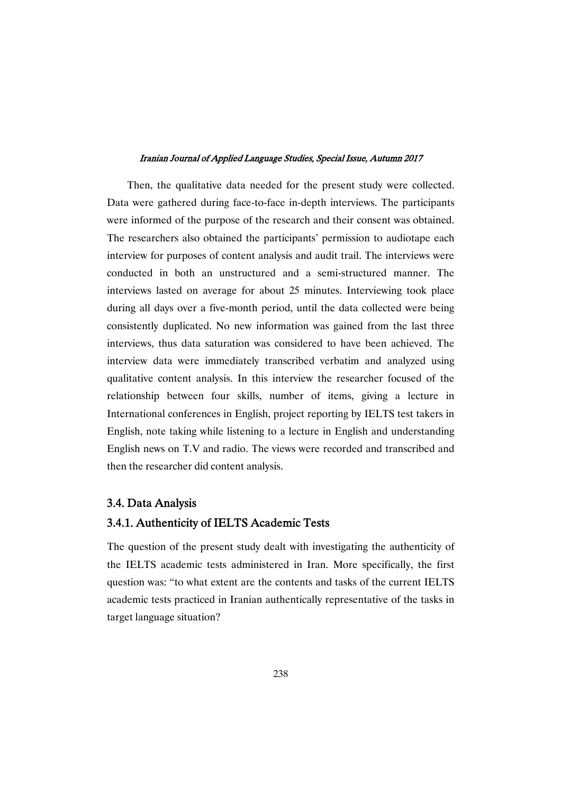Then, the qualitative data needed for the present study were collected. Data were gathered during face-to-face in-depth interviews. The participants were informed of the purpose of the research and their consent was obtained. The researchers also obtained the participants' permission to audiotape each interview for purposes of content analysis and audit trail. The interviews were conducted in both an unstructured and a semi-structured manner. The interviews lasted on average for about 25 minutes. Interviewing took place during all days over a five-month period, until the data collected were being consistently duplicated. No new information was gained from the last three interviews, thus data saturation was considered to have been achieved. The interview data were immediately transcribed verbatim and analyzed using qualitative content analysis. In this interview the researcher focused of the relationship between four skills, number of items, giving a lecture in International conferences in English, project reporting by IELTS test takers in English, note taking while listening to a lecture in English and understanding English news on T.V and radio. The views were recorded and transcribed and then the researcher did content analysis.

## 3.4.DataAnalysis

## 3.4.1. Authenticity of IELTS Academic Tests

The question of the present study dealt with investigating the authenticity of the IELTS academic tests administered in Iran. More specifically, the first question was: "to what extent are the contents and tasks of the current IELTS academic tests practiced in Iranian authentically representative of the tasks in target language situation?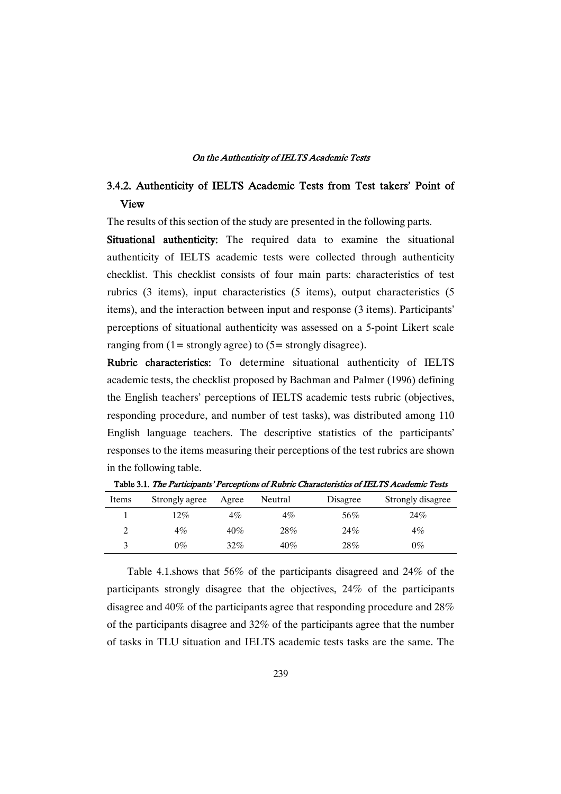# 3.4.2. Authenticity of IELTS Academic Tests from Test takers' Point of View

The results of this section of the study are presented in the following parts.

Situational authenticity: The required data to examine the situational authenticity of IELTS academic tests were collected through authenticity checklist. This checklist consists of four main parts: characteristics of test rubrics (3 items), input characteristics (5 items), output characteristics (5 items), and the interaction between input and response (3 items). Participants' perceptions of situational authenticity was assessed on a 5-point Likert scale ranging from  $(1=$  strongly agree) to  $(5=$  strongly disagree).

Rubric characteristics: To determine situational authenticity of IELTS academic tests, the checklist proposed by Bachman and Palmer (1996) defining the English teachers' perceptions of IELTS academic tests rubric (objectives, responding procedure, and number of test tasks), was distributed among 110 English language teachers. The descriptive statistics of the participants' responses to the items measuring their perceptions of the test rubrics are shown in the following table.

| Items | Strongly agree | Agree  | Neutral | Disagree | Strongly disagree |
|-------|----------------|--------|---------|----------|-------------------|
|       | 12%            | $4\%$  | $4\%$   | 56%      | 24%               |
|       | 4%             | $40\%$ | 28%     | 24%      | $4\%$             |
|       | 0%             | 32%    | 40%     | 28%      | $0\%$             |

Table 3.1. The Participants' Perceptions of Rubric Characteristics of IELTS Academic Tests

Table 4.1.shows that 56% of the participants disagreed and 24% of the participants strongly disagree that the objectives, 24% of the participants disagree and 40% of the participants agree that responding procedure and 28% of the participants disagree and 32% of the participants agree that the number of tasks in TLU situation and IELTS academic tests tasks are the same. The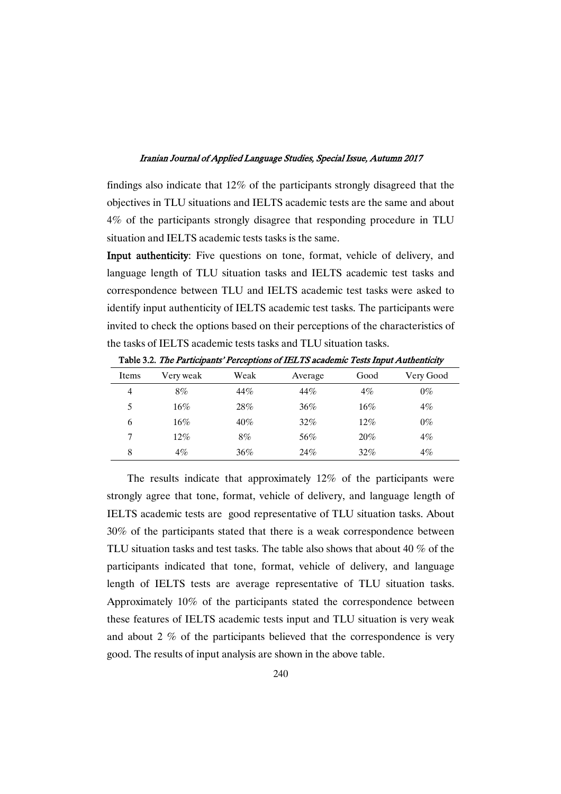findings also indicate that 12% of the participants strongly disagreed that the objectives in TLU situations and IELTS academic tests are the same and about 4% of the participants strongly disagree that responding procedure in TLU situation and IELTS academic tests tasks is the same.

Input authenticity: Five questions on tone, format, vehicle of delivery, and language length of TLU situation tasks and IELTS academic test tasks and correspondence between TLU and IELTS academic test tasks were asked to identify input authenticity of IELTS academic test tasks. The participants were invited to check the options based on their perceptions of the characteristics of the tasks of IELTS academic tests tasks and TLU situation tasks.

|       | -- - -- <i>---</i> --<br>-- <i>-</i> -- |        |         |        |           |
|-------|-----------------------------------------|--------|---------|--------|-----------|
| Items | Very weak                               | Weak   | Average | Good   | Very Good |
| 4     | 8%                                      | 44%    | 44%     | 4%     | $0\%$     |
| 5     | $16\%$                                  | 28%    | $36\%$  | $16\%$ | $4\%$     |
| 6     | $16\%$                                  | $40\%$ | $32\%$  | 12%    | $0\%$     |
| 7     | $12\%$                                  | 8%     | 56%     | 20%    | $4\%$     |
| 8     | $4\%$                                   | 36%    | 24%     | $32\%$ | $4\%$     |

Table 3.2. The Participants' Perceptions of IELTS academic Tests Input Authenticity

The results indicate that approximately 12% of the participants were strongly agree that tone, format, vehicle of delivery, and language length of IELTS academic tests are good representative of TLU situation tasks. About 30% of the participants stated that there is a weak correspondence between TLU situation tasks and test tasks. The table also shows that about 40 % of the participants indicated that tone, format, vehicle of delivery, and language length of IELTS tests are average representative of TLU situation tasks. Approximately 10% of the participants stated the correspondence between these features of IELTS academic tests input and TLU situation is very weak and about 2 % of the participants believed that the correspondence is very good. The results of input analysis are shown in the above table.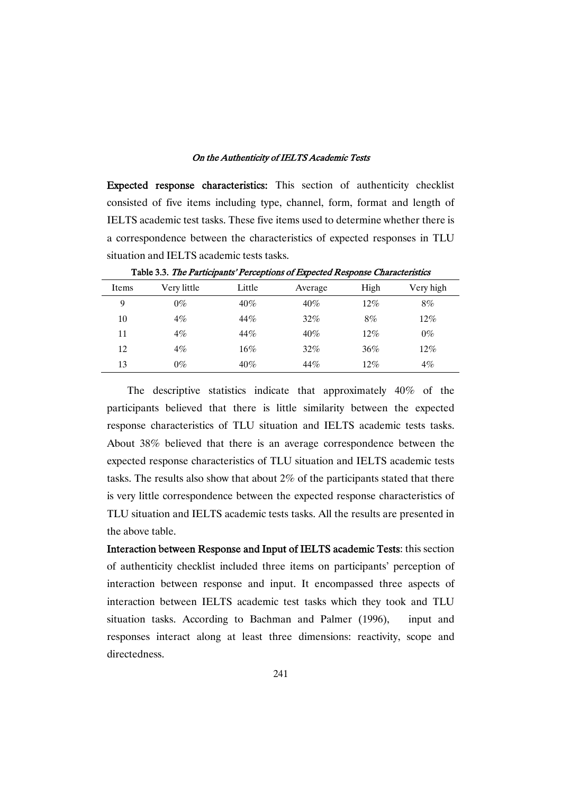Expected response characteristics: This section of authenticity checklist consisted of five items including type, channel, form, format and length of IELTS academic test tasks. These five items used to determine whether there is a correspondence between the characteristics of expected responses in TLU situation and IELTS academic tests tasks.

| Items | Very little | Little | Average | High   | Very high |  |
|-------|-------------|--------|---------|--------|-----------|--|
| 9     | $0\%$       | $40\%$ | $40\%$  | $12\%$ | 8%        |  |
| 10    | $4\%$       | 44%    | $32\%$  | 8%     | $12\%$    |  |
| 11    | $4\%$       | 44%    | $40\%$  | $12\%$ | $0\%$     |  |
| 12    | $4\%$       | $16\%$ | 32%     | $36\%$ | $12\%$    |  |
| 13    | $0\%$       | $40\%$ | 44%     | $12\%$ | $4\%$     |  |
|       |             |        |         |        |           |  |

Table 3.3. The Participants' Perceptions of Expected Response Characteristics

The descriptive statistics indicate that approximately 40% of the participants believed that there is little similarity between the expected response characteristics of TLU situation and IELTS academic tests tasks. About 38% believed that there is an average correspondence between the expected response characteristics of TLU situation and IELTS academic tests tasks. The results also show that about 2% of the participants stated that there is very little correspondence between the expected response characteristics of TLU situation and IELTS academic tests tasks. All the results are presented in the above table.

Interaction between Response and Input of IELTS academic Tests: this section of authenticity checklist included three items on participants' perception of interaction between response and input. It encompassed three aspects of interaction between IELTS academic test tasks which they took and TLU situation tasks. According to Bachman and Palmer (1996), input and responses interact along at least three dimensions: reactivity, scope and directedness.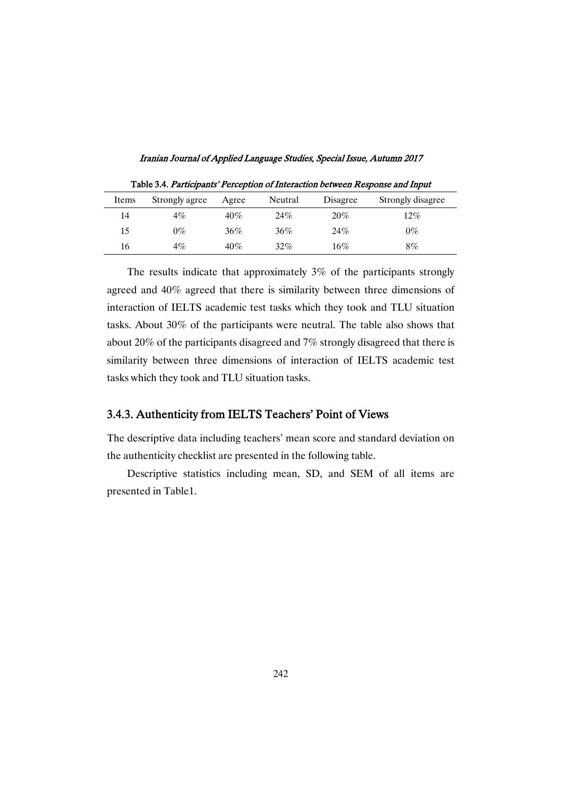Iranian Journal of Applied Language Studies, Special Issue, Autumn 2017

| Items | Strongly agree | Agree | Neutral | Disagree | Strongly disagree |
|-------|----------------|-------|---------|----------|-------------------|
| 14    | 4%             | 40%   | 24%     | $20\%$   | $12\%$            |
| 15    | 0%             | 36%   | 36%     | 24%      | $0\%$             |
| 16    | $4\%$          | 40%   | $32\%$  | 16%      | 8%                |

Table 3.4. Participants' Perception of Interaction between Response and Input

The results indicate that approximately 3% of the participants strongly agreed and 40% agreed that there is similarity between three dimensions of interaction of IELTS academic test tasks which they took and TLU situation tasks. About 30% of the participants were neutral. The table also shows that about 20% of the participants disagreed and 7% strongly disagreed that there is similarity between three dimensions of interaction of IELTS academic test tasks which they took and TLU situation tasks.

## 3.4.3. Authenticity from IELTS Teachers' Point of Views

The descriptive data including teachers' mean score and standard deviation on the authenticity checklist are presented in the following table.

Descriptive statistics including mean, SD, and SEM of all items are presented in Table1.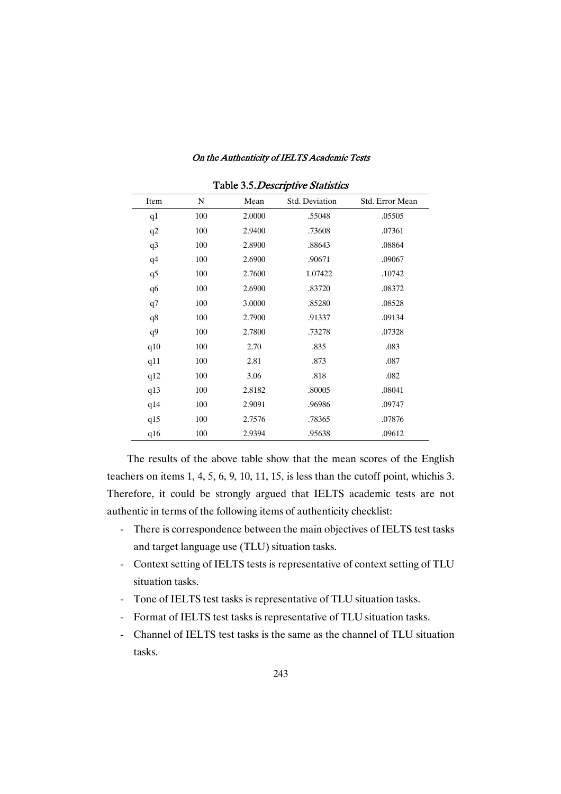| Table 3.5. Descriptive Statistics |     |        |                |                 |  |
|-----------------------------------|-----|--------|----------------|-----------------|--|
| Item                              | N   | Mean   | Std. Deviation | Std. Error Mean |  |
| q1                                | 100 | 2.0000 | .55048         | .05505          |  |
| q2                                | 100 | 2.9400 | .73608         | .07361          |  |
| q <sub>3</sub>                    | 100 | 2.8900 | .88643         | .08864          |  |
| q4                                | 100 | 2.6900 | .90671         | .09067          |  |
| q5                                | 100 | 2.7600 | 1.07422        | .10742          |  |
| q6                                | 100 | 2.6900 | .83720         | .08372          |  |
| q7                                | 100 | 3.0000 | .85280         | .08528          |  |
| q8                                | 100 | 2.7900 | .91337         | .09134          |  |
| q9                                | 100 | 2.7800 | .73278         | .07328          |  |
| q10                               | 100 | 2.70   | .835           | .083            |  |
| q11                               | 100 | 2.81   | .873           | .087            |  |
| q12                               | 100 | 3.06   | .818           | .082            |  |
| q13                               | 100 | 2.8182 | .80005         | .08041          |  |
| q14                               | 100 | 2.9091 | .96986         | .09747          |  |
| q15                               | 100 | 2.7576 | .78365         | .07876          |  |
| q16                               | 100 | 2.9394 | .95638         | .09612          |  |

The results of the above table show that the mean scores of the English teachers on items 1, 4, 5, 6, 9, 10, 11, 15, is less than the cutoff point, whichis 3. Therefore, it could be strongly argued that IELTS academic tests are not authentic in terms of the following items of authenticity checklist:

- There is correspondence between the main objectives of IELTS test tasks and target language use (TLU) situation tasks.
- Context setting of IELTS tests is representative of context setting of TLU situation tasks.
- Tone of IELTS test tasks is representative of TLU situation tasks.
- Format of IELTS test tasks is representative of TLU situation tasks.
- Channel of IELTS test tasks is the same as the channel of TLU situation tasks.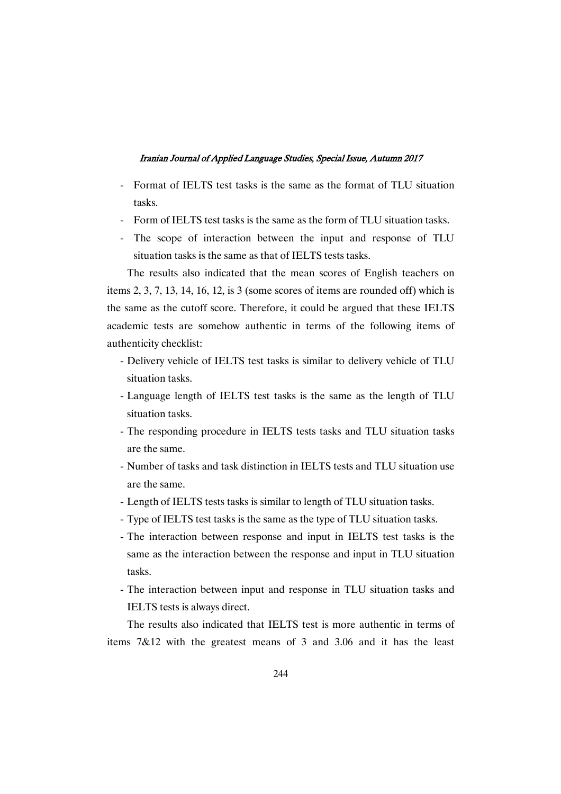- Format of IELTS test tasks is the same as the format of TLU situation tasks.
- Form of IELTS test tasks is the same as the form of TLU situation tasks.
- The scope of interaction between the input and response of TLU situation tasks is the same as that of IELTS tests tasks.

The results also indicated that the mean scores of English teachers on items 2, 3, 7, 13, 14, 16, 12, is 3 (some scores of items are rounded off) which is the same as the cutoff score. Therefore, it could be argued that these IELTS academic tests are somehow authentic in terms of the following items of authenticity checklist:

- Delivery vehicle of IELTS test tasks is similar to delivery vehicle of TLU situation tasks.
- Language length of IELTS test tasks is the same as the length of TLU situation tasks.
- The responding procedure in IELTS tests tasks and TLU situation tasks are the same.
- Number of tasks and task distinction in IELTS tests and TLU situation use are the same.
- Length of IELTS tests tasks is similar to length of TLU situation tasks.
- Type of IELTS test tasks is the same as the type of TLU situation tasks.
- The interaction between response and input in IELTS test tasks is the same as the interaction between the response and input in TLU situation tasks.
- The interaction between input and response in TLU situation tasks and IELTS tests is always direct.

The results also indicated that IELTS test is more authentic in terms of items 7&12 with the greatest means of 3 and 3.06 and it has the least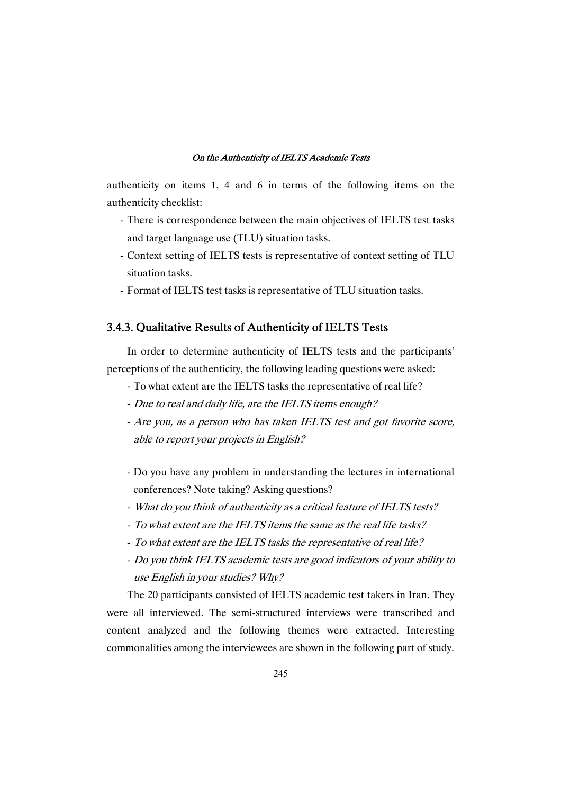authenticity on items 1, 4 and 6 in terms of the following items on the authenticity checklist:

- There is correspondence between the main objectives of IELTS test tasks and target language use (TLU) situation tasks.
- Context setting of IELTS tests is representative of context setting of TLU situation tasks.
- Format of IELTS test tasks is representative of TLU situation tasks.

# 3.4.3. Qualitative Results of Authenticity of IELTS Tests

In order to determine authenticity of IELTS tests and the participants' perceptions of the authenticity, the following leading questions were asked:

- To what extent are the IELTS tasks the representative of real life?
- Due to real and daily life, are the IELTS items enough?
- Are you, as a person who has taken IELTS test and got favorite score, able to report your projects in English?
- Do you have any problem in understanding the lectures in international conferences? Note taking? Asking questions?
- What do you think of authenticity as <sup>a</sup> critical feature of IELTS tests?
- To what extent are the IELTS items the same as the real life tasks?
- To what extent are the IELTS tasks the representative of real life?
- Do you think IELTS academic tests are good indicators of your ability to use English in your studies? Why?

The 20 participants consisted of IELTS academic test takers in Iran. They were all interviewed. The semi-structured interviews were transcribed and content analyzed and the following themes were extracted. Interesting commonalities among the interviewees are shown in the following part of study.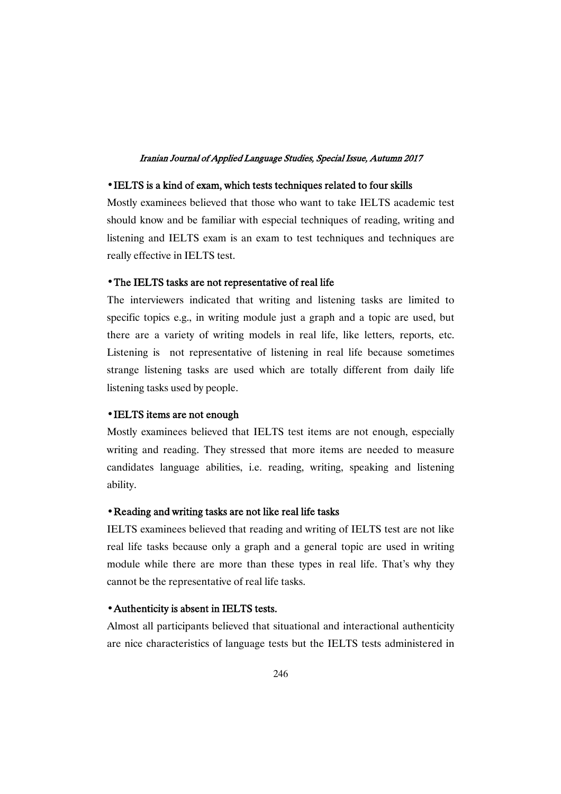### • IELTS is a kind of exam, which tests techniques related to four skills

Mostly examinees believed that those who want to take IELTS academic test should know and be familiar with especial techniques of reading, writing and listening and IELTS exam is an exam to test techniques and techniques are really effective in IELTS test.

### • The IELTS tasks are not representative of real life

The interviewers indicated that writing and listening tasks are limited to specific topics e.g., in writing module just a graph and a topic are used, but there are a variety of writing models in real life, like letters, reports, etc. Listening is not representative of listening in real life because sometimes strange listening tasks are used which are totally different from daily life listening tasks used by people.

### • IELTS items are not enough

Mostly examinees believed that IELTS test items are not enough, especially writing and reading. They stressed that more items are needed to measure candidates language abilities, i.e. reading, writing, speaking and listening ability.

## • Reading and writing tasks are not like real life tasks

IELTS examinees believed that reading and writing of IELTS test are not like real life tasks because only a graph and a general topic are used in writing module while there are more than these types in real life. That's why they cannot be the representative of real life tasks.

## • Authenticity is absent in IELTS tests.

Almost all participants believed that situational and interactional authenticity are nice characteristics of language tests but the IELTS tests administered in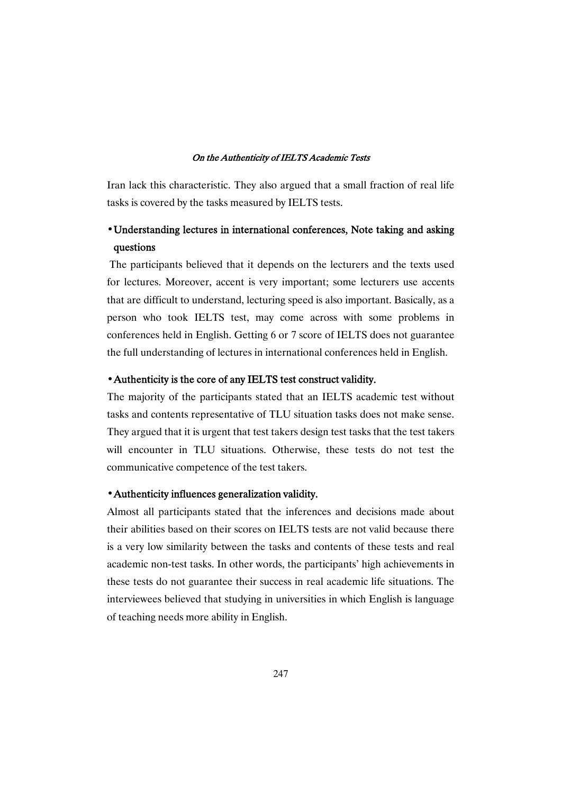Iran lack this characteristic. They also argued that a small fraction of real life tasks is covered by the tasks measured by IELTS tests.

# • Understanding lectures in international conferences, Note taking and asking questions

The participants believed that it depends on the lecturers and the texts used for lectures. Moreover, accent is very important; some lecturers use accents that are difficult to understand, lecturing speed is also important. Basically, as a person who took IELTS test, may come across with some problems in conferences held in English. Getting 6 or 7 score of IELTS does not guarantee the full understanding of lectures in international conferences held in English.

### • Authenticity is the core of any IELTS test construct validity.

The majority of the participants stated that an IELTS academic test without tasks and contents representative of TLU situation tasks does not make sense. They argued that it is urgent that test takers design test tasks that the test takers will encounter in TLU situations. Otherwise, these tests do not test the communicative competence of the test takers.

### $\cdot$  Authenticity influences generalization validity.

Almost all participants stated that the inferences and decisions made about their abilities based on their scores on IELTS tests are not valid because there is a very low similarity between the tasks and contents of these tests and real academic non-test tasks. In other words, the participants' high achievements in these tests do not guarantee their success in real academic life situations. The interviewees believed that studying in universities in which English is language of teaching needs more ability in English.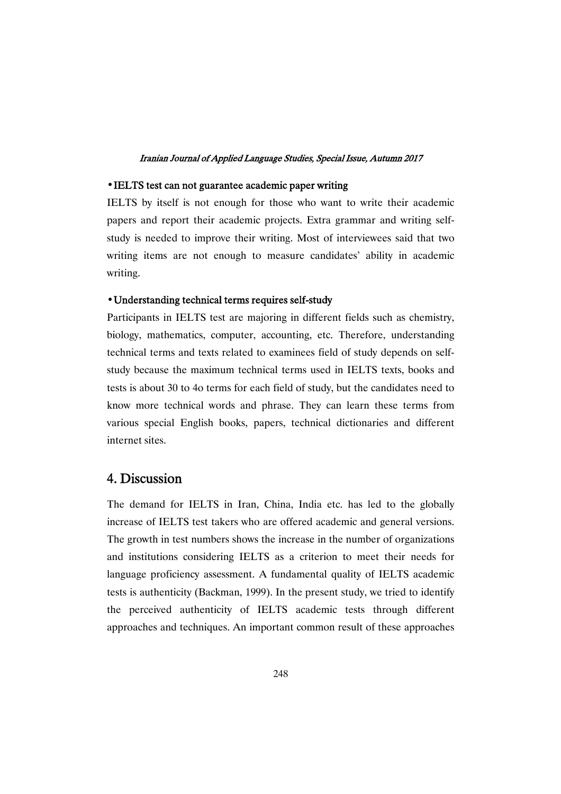#### $\cdot$  IELTS test can not guarantee academic paper writing

IELTS by itself is not enough for those who want to write their academic papers and report their academic projects. Extra grammar and writing selfstudy is needed to improve their writing. Most of interviewees said that two writing items are not enough to measure candidates' ability in academic writing.

### • Understanding technical terms requires self-study

Participants in IELTS test are majoring in different fields such as chemistry, biology, mathematics, computer, accounting, etc. Therefore, understanding technical terms and texts related to examinees field of study depends on selfstudy because the maximum technical terms used in IELTS texts, books and tests is about 30 to 4o terms for each field of study, but the candidates need to know more technical words and phrase. They can learn these terms from various special English books, papers, technical dictionaries and different internet sites.

# 4.Discussion

The demand for IELTS in Iran, China, India etc. has led to the globally increase of IELTS test takers who are offered academic and general versions. The growth in test numbers shows the increase in the number of organizations and institutions considering IELTS as a criterion to meet their needs for language proficiency assessment. A fundamental quality of IELTS academic tests is authenticity (Backman, 1999). In the present study, we tried to identify the perceived authenticity of IELTS academic tests through different approaches and techniques. An important common result of these approaches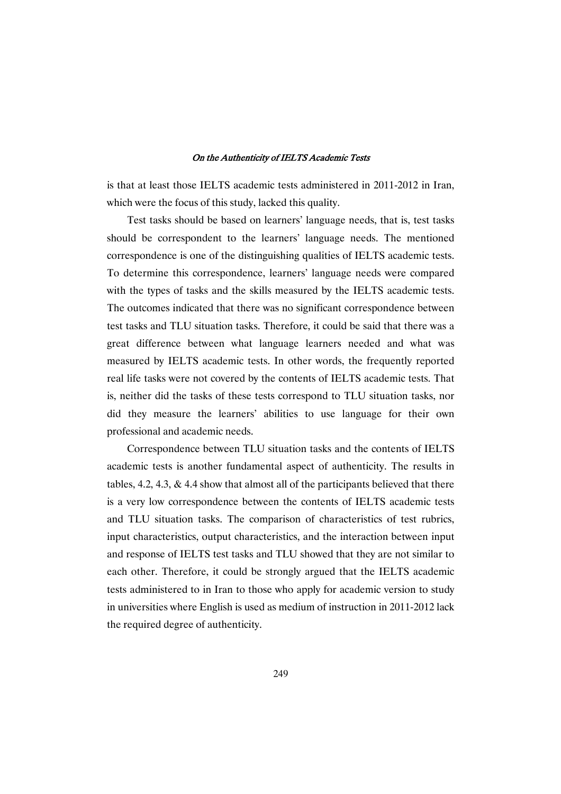is that at least those IELTS academic tests administered in 2011-2012 in Iran, which were the focus of this study, lacked this quality.

Test tasks should be based on learners' language needs, that is, test tasks should be correspondent to the learners' language needs. The mentioned correspondence is one of the distinguishing qualities of IELTS academic tests. To determine this correspondence, learners' language needs were compared with the types of tasks and the skills measured by the IELTS academic tests. The outcomes indicated that there was no significant correspondence between test tasks and TLU situation tasks. Therefore, it could be said that there was a great difference between what language learners needed and what was measured by IELTS academic tests. In other words, the frequently reported real life tasks were not covered by the contents of IELTS academic tests. That is, neither did the tasks of these tests correspond to TLU situation tasks, nor did they measure the learners' abilities to use language for their own professional and academic needs.

Correspondence between TLU situation tasks and the contents of IELTS academic tests is another fundamental aspect of authenticity. The results in tables,  $4.2$ ,  $4.3$ ,  $\&$   $4.4$  show that almost all of the participants believed that there is a very low correspondence between the contents of IELTS academic tests and TLU situation tasks. The comparison of characteristics of test rubrics, input characteristics, output characteristics, and the interaction between input and response of IELTS test tasks and TLU showed that they are not similar to each other. Therefore, it could be strongly argued that the IELTS academic tests administered to in Iran to those who apply for academic version to study in universities where English is used as medium of instruction in 2011-2012 lack the required degree of authenticity.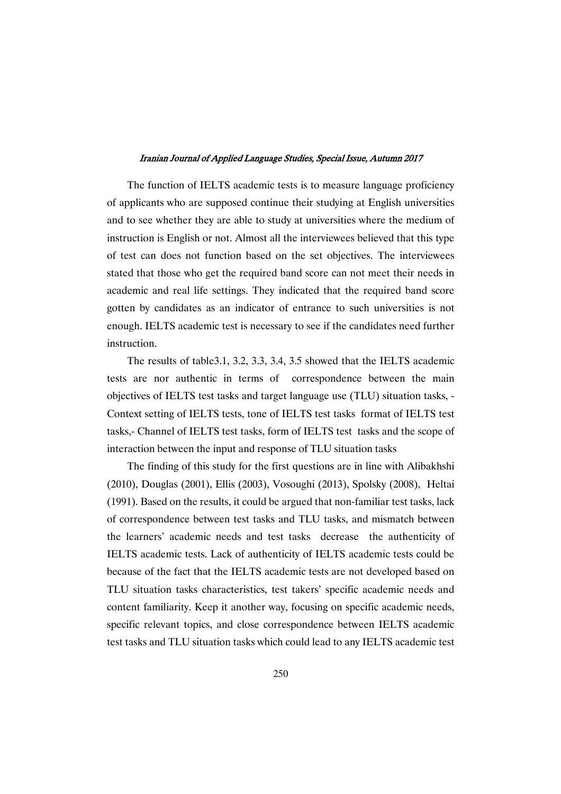The function of IELTS academic tests is to measure language proficiency of applicants who are supposed continue their studying at English universities and to see whether they are able to study at universities where the medium of instruction is English or not. Almost all the interviewees believed that this type of test can does not function based on the set objectives. The interviewees stated that those who get the required band score can not meet their needs in academic and real life settings. They indicated that the required band score gotten by candidates as an indicator of entrance to such universities is not enough. IELTS academic test is necessary to see if the candidates need further instruction.

The results of table3.1, 3.2, 3.3, 3.4, 3.5 showed that the IELTS academic tests are nor authentic in terms of correspondence between the main objectives of IELTS test tasks and target language use (TLU) situation tasks, - Context setting of IELTS tests, tone of IELTS test tasks format of IELTS test tasks,- Channel of IELTS test tasks, form of IELTS test tasks and the scope of interaction between the input and response of TLU situation tasks

The finding of this study for the first questions are in line with Alibakhshi (2010), Douglas (2001), Ellis (2003), Vosoughi (2013), Spolsky (2008), Heltai (1991). Based on the results, it could be argued that non-familiar test tasks, lack of correspondence between test tasks and TLU tasks, and mismatch between the learners' academic needs and test tasks decrease the authenticity of IELTS academic tests. Lack of authenticity of IELTS academic tests could be because of the fact that the IELTS academic tests are not developed based on TLU situation tasks characteristics, test takers' specific academic needs and content familiarity. Keep it another way, focusing on specific academic needs, specific relevant topics, and close correspondence between IELTS academic test tasks and TLU situation tasks which could lead to any IELTS academic test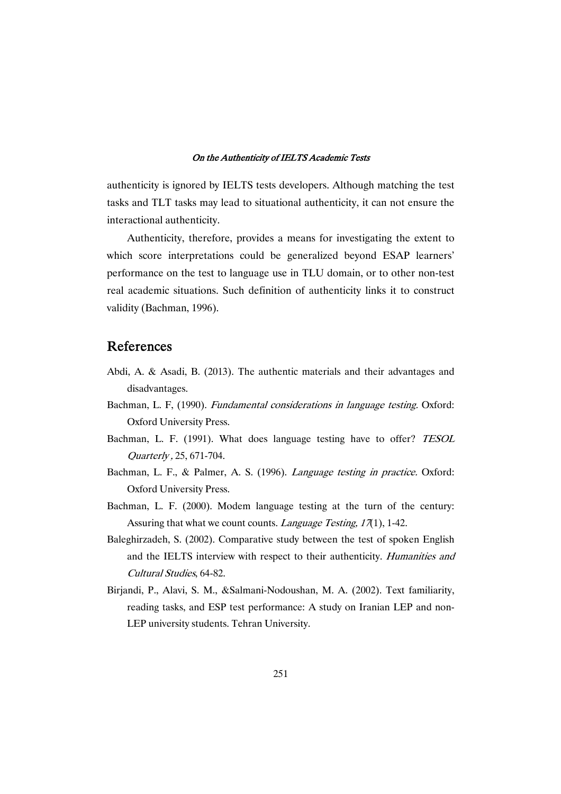authenticity is ignored by IELTS tests developers. Although matching the test tasks and TLT tasks may lead to situational authenticity, it can not ensure the interactional authenticity.

Authenticity, therefore, provides a means for investigating the extent to which score interpretations could be generalized beyond ESAP learners' performance on the test to language use in TLU domain, or to other non-test real academic situations. Such definition of authenticity links it to construct validity (Bachman, 1996).

# References

- Abdi, A. & Asadi, B. (2013). The authentic materials and their advantages and disadvantages.
- Bachman, L. F, (1990). Fundamental considerations in language testing. Oxford: Oxford University Press.
- Bachman, L. F. (1991). What does language testing have to offer? TESOL Quarterly , 25, 671-704.
- Bachman, L. F., & Palmer, A. S. (1996). Language testing in practice. Oxford: Oxford University Press.
- Bachman, L. F. (2000). Modem language testing at the turn of the century: Assuring that what we count counts. *Language Testing*, 17(1), 1-42.
- Baleghirzadeh, S. (2002). Comparative study between the test of spoken English and the IELTS interview with respect to their authenticity. Humanities and Cultural Studies, 64-82.
- Birjandi, P., Alavi, S. M., &Salmani-Nodoushan, M. A. (2002). Text familiarity, reading tasks, and ESP test performance: A study on Iranian LEP and non-LEP university students. Tehran University.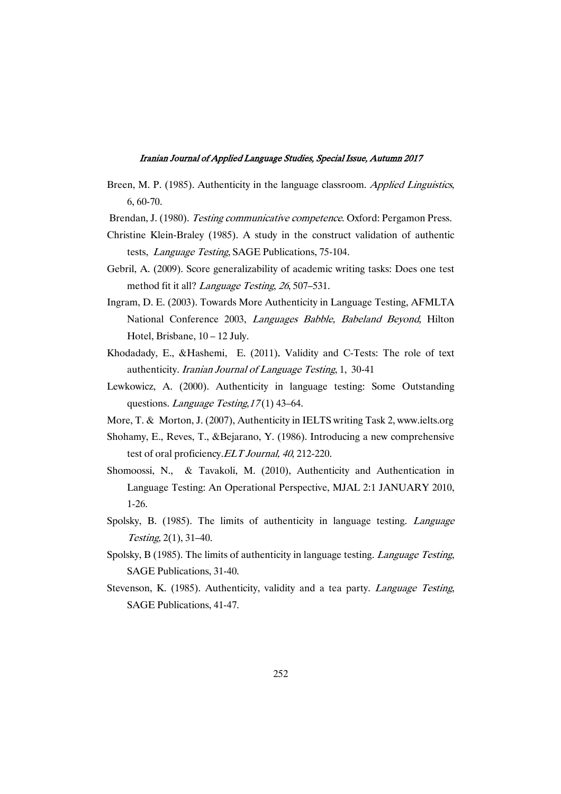- Breen, M. P. (1985). Authenticity in the language classroom. Applied Linguistics, 6, 60-70.
- Brendan, J. (1980). Testing communicative competence. Oxford: Pergamon Press.
- Christine Klein-Braley (1985). A study in the construct validation of authentic tests, Language Testing, SAGE Publications, 75-104.
- Gebril, A. (2009). Score generalizability of academic writing tasks: Does one test method fit it all? *Language Testing*, 26, 507–531.
- Ingram, D. E. (2003). Towards More Authenticity in Language Testing, AFMLTA National Conference 2003, Languages Babble, Babeland Beyond, Hilton Hotel, Brisbane,  $10 - 12$  July.
- Khodadady, E., &Hashemi, E. (2011). Validity and C-Tests: The role of text authenticity. Iranian Journal of Language Testing, 1, 30-41
- Lewkowicz, A. (2000). Authenticity in language testing: Some Outstanding questions. Language Testing,  $17(1)$  43–64.
- More, T. & Morton, J. (2007), Authenticity in IELTS writing Task 2, www.ielts.org
- Shohamy, E., Reves, T., &Bejarano, Y. (1986). Introducing a new comprehensive test of oral proficiency. ELT Journal, 40, 212-220.
- Shomoossi, N., & Tavakoli, M. (2010), Authenticity and Authentication in Language Testing: An Operational Perspective, MJAL 2:1 JANUARY 2010, 1-26.
- Spolsky, B. (1985). The limits of authenticity in language testing. Language Testing, 2(1), 31–40.
- Spolsky, B (1985). The limits of authenticity in language testing. Language Testing, SAGE Publications, 31-40.
- Stevenson, K. (1985). Authenticity, validity and a tea party. *Language Testing*, SAGE Publications, 41-47.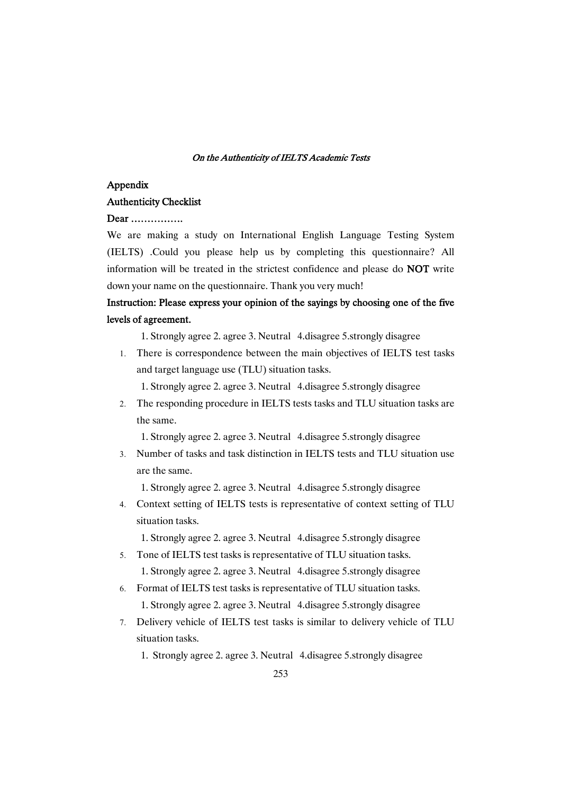### Appendix

### AuthenticityChecklist

### Dear…………….

We are making a study on International English Language Testing System (IELTS) .Could you please help us by completing this questionnaire? All information will be treated in the strictest confidence and please do NOT write down your name on the questionnaire. Thank you very much!

# Instruction: Please express your opinion of the sayings by choosing one of the five levels of agreement.

1. Strongly agree 2. agree 3. Neutral 4.disagree 5.strongly disagree

1. There is correspondence between the main objectives of IELTS test tasks and target language use (TLU) situation tasks.

1. Strongly agree 2. agree 3. Neutral 4.disagree 5.strongly disagree

2. The responding procedure in IELTS tests tasks and TLU situation tasks are the same.

1. Strongly agree 2. agree 3. Neutral 4.disagree 5.strongly disagree

3. Number of tasks and task distinction in IELTS tests and TLU situation use are the same.

1. Strongly agree 2. agree 3. Neutral 4.disagree 5.strongly disagree

4. Context setting of IELTS tests is representative of context setting of TLU situation tasks.

1. Strongly agree 2. agree 3. Neutral 4.disagree 5.strongly disagree

- 5. Tone of IELTS test tasks is representative of TLU situation tasks. 1. Strongly agree 2. agree 3. Neutral 4.disagree 5.strongly disagree
- 6. Format of IELTS test tasks is representative of TLU situation tasks. 1. Strongly agree 2. agree 3. Neutral 4.disagree 5.strongly disagree
- 7. Delivery vehicle of IELTS test tasks is similar to delivery vehicle of TLU situation tasks.
	- 1. Strongly agree 2. agree 3. Neutral 4.disagree 5.strongly disagree